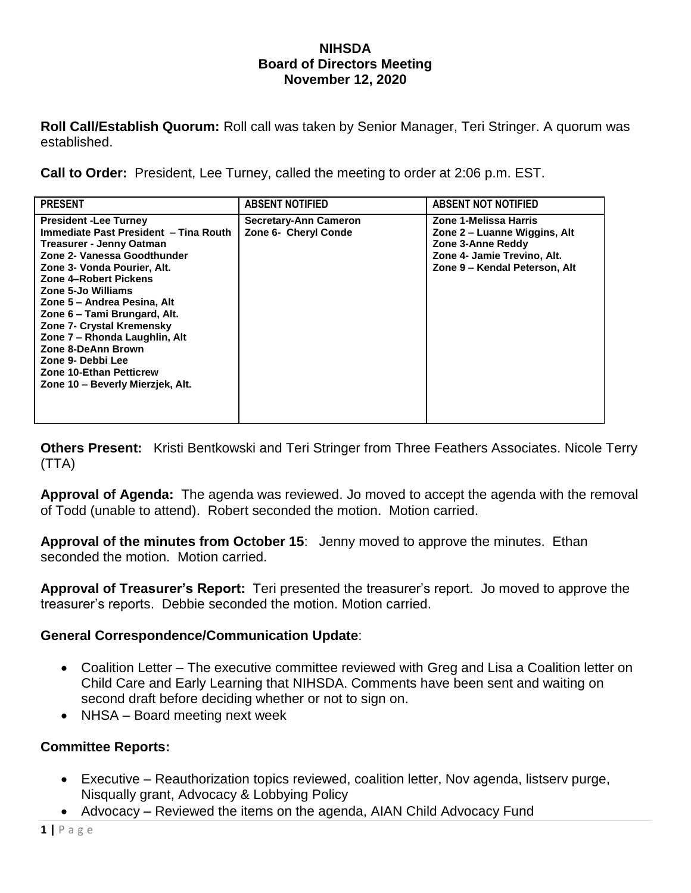#### **NIHSDA Board of Directors Meeting November 12, 2020**

**Roll Call/Establish Quorum:** Roll call was taken by Senior Manager, Teri Stringer. A quorum was established.

**Call to Order:** President, Lee Turney, called the meeting to order at 2:06 p.m. EST.

| <b>PRESENT</b>                                                                                                                                                                                                                                                                                                                                                                                                                                                             | <b>ABSENT NOTIFIED</b>                               | <b>ABSENT NOT NOTIFIED</b>                                                                                                                 |
|----------------------------------------------------------------------------------------------------------------------------------------------------------------------------------------------------------------------------------------------------------------------------------------------------------------------------------------------------------------------------------------------------------------------------------------------------------------------------|------------------------------------------------------|--------------------------------------------------------------------------------------------------------------------------------------------|
| <b>President -Lee Turney</b><br>Immediate Past President - Tina Routh<br><b>Treasurer - Jenny Oatman</b><br>Zone 2- Vanessa Goodthunder<br>Zone 3- Vonda Pourier, Alt.<br>Zone 4-Robert Pickens<br>Zone 5-Jo Williams<br>Zone 5 – Andrea Pesina, Alt<br>Zone 6 – Tami Brungard, Alt.<br><b>Zone 7- Crystal Kremensky</b><br>Zone 7 - Rhonda Laughlin, Alt<br>Zone 8-DeAnn Brown<br>Zone 9- Debbi Lee<br><b>Zone 10-Ethan Petticrew</b><br>Zone 10 - Beverly Mierzjek, Alt. | <b>Secretary-Ann Cameron</b><br>Zone 6- Cheryl Conde | Zone 1-Melissa Harris<br>Zone 2 – Luanne Wiggins, Alt<br>Zone 3-Anne Reddy<br>Zone 4- Jamie Trevino, Alt.<br>Zone 9 - Kendal Peterson, Alt |

**Others Present:** Kristi Bentkowski and Teri Stringer from Three Feathers Associates. Nicole Terry (TTA)

**Approval of Agenda:** The agenda was reviewed. Jo moved to accept the agenda with the removal of Todd (unable to attend). Robert seconded the motion. Motion carried.

**Approval of the minutes from October 15**: Jenny moved to approve the minutes. Ethan seconded the motion. Motion carried.

**Approval of Treasurer's Report:** Teri presented the treasurer's report. Jo moved to approve the treasurer's reports. Debbie seconded the motion. Motion carried.

### **General Correspondence/Communication Update**:

- Coalition Letter The executive committee reviewed with Greg and Lisa a Coalition letter on Child Care and Early Learning that NIHSDA. Comments have been sent and waiting on second draft before deciding whether or not to sign on.
- NHSA Board meeting next week

### **Committee Reports:**

- Executive Reauthorization topics reviewed, coalition letter, Nov agenda, listserv purge, Nisqually grant, Advocacy & Lobbying Policy
- Advocacy Reviewed the items on the agenda, AIAN Child Advocacy Fund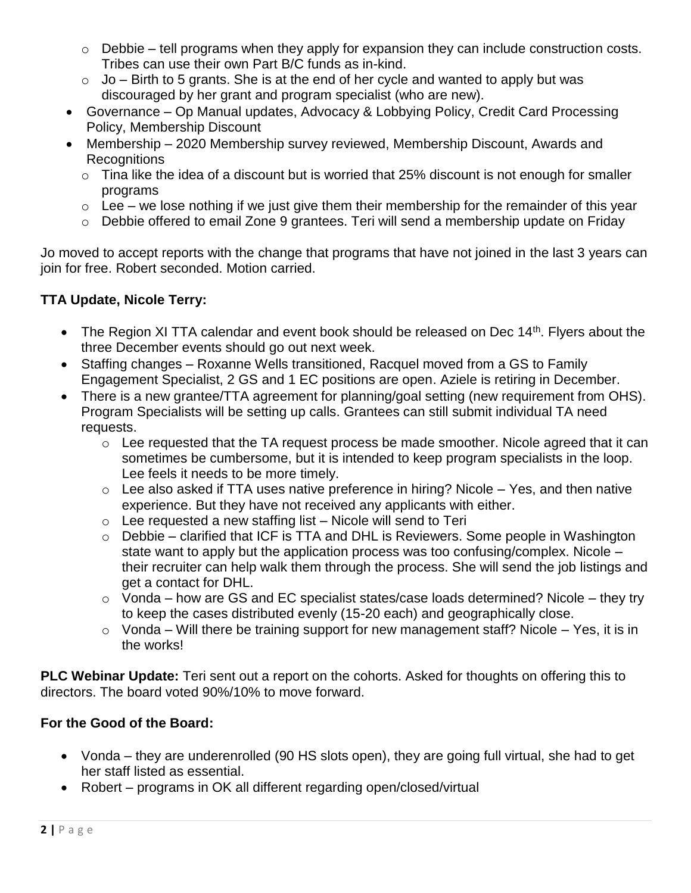- $\circ$  Debbie tell programs when they apply for expansion they can include construction costs. Tribes can use their own Part B/C funds as in-kind.
- $\circ$  Jo Birth to 5 grants. She is at the end of her cycle and wanted to apply but was discouraged by her grant and program specialist (who are new).
- Governance Op Manual updates, Advocacy & Lobbying Policy, Credit Card Processing Policy, Membership Discount
- Membership 2020 Membership survey reviewed, Membership Discount, Awards and **Recognitions** 
	- $\circ$  Tina like the idea of a discount but is worried that 25% discount is not enough for smaller programs
	- $\circ$  Lee we lose nothing if we just give them their membership for the remainder of this year
	- o Debbie offered to email Zone 9 grantees. Teri will send a membership update on Friday

Jo moved to accept reports with the change that programs that have not joined in the last 3 years can join for free. Robert seconded. Motion carried.

# **TTA Update, Nicole Terry:**

- The Region XI TTA calendar and event book should be released on Dec  $14<sup>th</sup>$ . Flyers about the three December events should go out next week.
- Staffing changes Roxanne Wells transitioned, Racquel moved from a GS to Family Engagement Specialist, 2 GS and 1 EC positions are open. Aziele is retiring in December.
- There is a new grantee/TTA agreement for planning/goal setting (new requirement from OHS). Program Specialists will be setting up calls. Grantees can still submit individual TA need requests.
	- $\circ$  Lee requested that the TA request process be made smoother. Nicole agreed that it can sometimes be cumbersome, but it is intended to keep program specialists in the loop. Lee feels it needs to be more timely.
	- $\circ$  Lee also asked if TTA uses native preference in hiring? Nicole Yes, and then native experience. But they have not received any applicants with either.
	- $\circ$  Lee requested a new staffing list Nicole will send to Teri
	- o Debbie clarified that ICF is TTA and DHL is Reviewers. Some people in Washington state want to apply but the application process was too confusing/complex. Nicole – their recruiter can help walk them through the process. She will send the job listings and get a contact for DHL.
	- $\circ$  Vonda how are GS and EC specialist states/case loads determined? Nicole they try to keep the cases distributed evenly (15-20 each) and geographically close.
	- $\circ$  Vonda Will there be training support for new management staff? Nicole Yes, it is in the works!

**PLC Webinar Update:** Teri sent out a report on the cohorts. Asked for thoughts on offering this to directors. The board voted 90%/10% to move forward.

# **For the Good of the Board:**

- Vonda they are underenrolled (90 HS slots open), they are going full virtual, she had to get her staff listed as essential.
- Robert programs in OK all different regarding open/closed/virtual